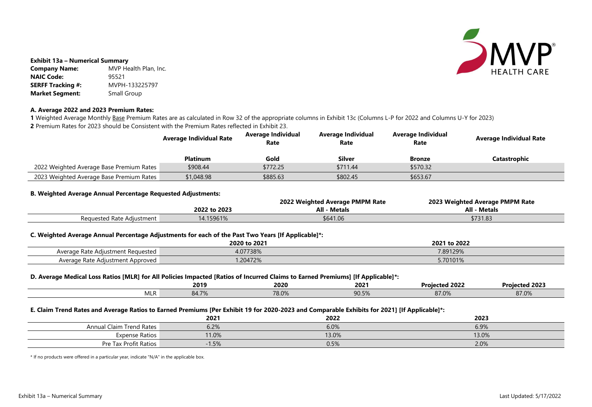

### **Exhibit 13a – Numerical Summary**

| <b>Company Name:</b>     | MVP Health Plan, Inc. |
|--------------------------|-----------------------|
| <b>NAIC Code:</b>        | 95521                 |
| <b>SERFF Tracking #:</b> | MVPH-133225797        |
| <b>Market Segment:</b>   | Small Group           |

## **A. Average 2022 and 2023 Premium Rates:**

1 Weighted Average Monthly Base Premium Rates are as calculated in Row 32 of the appropriate columns in Exhibit 13c (Columns L-P for 2022 and Columns U-Y for 2023) **2** Premium Rates for 2023 should be Consistent with the Premium Rates reflected in Exhibit 23.

# **Rate Average Individual Rate**

**Catastrophic** 

|                                          | <b>Average Individual Rate</b> | <b>Average Individual</b><br>Rate | <b>Average Individual</b><br>Rate | <b>Average Individual</b><br>Rate |  |
|------------------------------------------|--------------------------------|-----------------------------------|-----------------------------------|-----------------------------------|--|
|                                          | <b>Platinum</b>                | Gold                              | <b>Silver</b>                     | <b>Bronze</b>                     |  |
| 2022 Weighted Average Base Premium Rates | \$908.44                       | \$772.25                          | \$711.44                          | \$570.32                          |  |
| 2023 Weighted Average Base Premium Rates | \$1,048.98                     | \$885.63                          | \$802.45                          | \$653.67                          |  |

## **B. Weighted Average Annual Percentage Requested Adjustments:**

# **2022 Weighted Average PMPM Rate 2023 Weighted Average PMPM Rate 2022 to 2023 All - Metals All - Metals**

| 6.9%  |  |
|-------|--|
| 13.0% |  |
| 2.0%  |  |

|                           |              | 2022 Weighted Average PMPM Rate | 2023 Weighted Avera |
|---------------------------|--------------|---------------------------------|---------------------|
|                           | 2022 to 2023 | <b>All - Metals</b>             | All<br>Meta         |
| Requested Rate Adjustment | 14.15961%    | \$641.06                        | \$731.83            |

## **C. Weighted Average Annual Percentage Adjustments for each of the Past Two Years [If Applicable]\*:**

|                                   | 2020 to 2021 | to 2022<br>2021 |
|-----------------------------------|--------------|-----------------|
| Average Rate Adjustment Requested | 4.07738%     | 7.89129%        |
| Average Rate Adjustment Approved  | .20472%      | 5.70101%        |

## **D. Average Medical Loss Ratios [MLR] for All Policies Impacted [Ratios of Incurred Claims to Earned Premiums] [If Applicable]\*:**

|            | 2019  | 2020  | - -<br>2021     | <b>Projected 2022</b>                 | 2023<br>Projectea . |
|------------|-------|-------|-----------------|---------------------------------------|---------------------|
| <b>MLF</b> | 84.7% | 78.0% | 905%<br>JU.J /0 | $\sim$ $\sim$ $\sim$<br>$OI$ . V $7O$ | 27.001<br>01.07c    |

## **E. Claim Trend Rates and Average Ratios to Earned Premiums [Per Exhibit 19 for 2020-2023 and Comparable Exhibits for 2021] [If Applicable]\*:**

|                                 | 2021    | 2022  | 2023  |
|---------------------------------|---------|-------|-------|
| <b>Annual Claim Trend Rates</b> | 6.2%    | 6.0%  | 6.9%  |
| <b>Expense Ratios</b>           | 11.0%   | 13.0% | 13.0% |
| Pre Tax Profit Ratios           | $-1.5%$ | 0.5%  | 2.0%  |

\* If no products were offered in a particular year, indicate "N/A" in the applicable box.